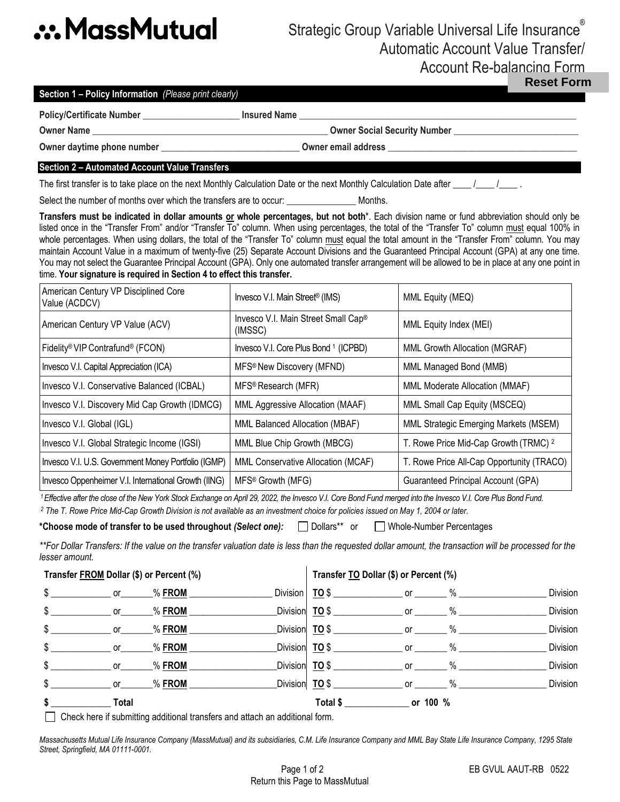# **.:. MassMutual**

## Strategic Group Variable Universal Life Insurance® Automatic Account Value Transfer/ Account Re-balancing Form

**Reset Form**

| Section 1 - Policy Information (Please print clearly) |  |
|-------------------------------------------------------|--|
|-------------------------------------------------------|--|

Policy/Certificate Number **business Example 1 and Series League 2 and Series Contract 2 and 2 and 2 and 2 and 2 and 2 and 2 and 2 and 2 and 2 and 2 and 2 and 2 and 2 and 2 and 2 and 2 and 2 and 2 and 2 and 2 and 2 an** 

**Owner Name \_\_\_\_\_\_\_\_\_\_\_\_\_\_\_\_\_\_\_\_\_\_\_\_\_\_\_\_\_\_\_\_\_\_\_\_\_\_\_\_\_\_\_\_\_\_\_\_\_\_\_ Owner Social Security Number \_\_\_\_\_\_\_\_\_\_\_\_\_\_\_\_\_\_\_\_\_\_\_\_\_\_\_**

Owner daytime phone number **\_\_\_\_\_\_\_\_\_\_\_\_\_\_\_\_\_\_\_\_\_\_\_\_\_\_\_\_\_\_\_** Owner email address

### **Section 2 – Automated Account Value Transfers**

The first transfer is to take place on the next Monthly Calculation Date or the next Monthly Calculation Date after \_\_\_\_ /\_\_\_\_ /\_\_\_\_\_ .

Select the number of months over which the transfers are to occur: Months.

**Transfers must be indicated in dollar amounts or whole percentages, but not both**\*. Each division name or fund abbreviation should only be listed once in the "Transfer From" and/or "Transfer To" column. When using percentages, the total of the "Transfer To" column must equal 100% in whole percentages. When using dollars, the total of the "Transfer To" column must equal the total amount in the "Transfer From" column. You may maintain Account Value in a maximum of twenty-five (25) Separate Account Divisions and the Guaranteed Principal Account (GPA) at any one time. You may not select the Guarantee Principal Account (GPA). Only one automated transfer arrangement will be allowed to be in place at any one point in time. **Your signature is required in Section 4 to effect this transfer.**

| American Century VP Disciplined Core<br>Value (ACDCV) | Invesco V.I. Main Street <sup>®</sup> (IMS)    | MML Equity (MEQ)                                 |
|-------------------------------------------------------|------------------------------------------------|--------------------------------------------------|
| American Century VP Value (ACV)                       | Invesco V.I. Main Street Small Cap®<br>(IMSSC) | MML Equity Index (MEI)                           |
| Fidelity® VIP Contrafund® (FCON)                      | Invesco V.I. Core Plus Bond 1 (ICPBD)          | <b>MML Growth Allocation (MGRAF)</b>             |
| Invesco V.I. Capital Appreciation (ICA)               | MFS <sup>®</sup> New Discovery (MFND)          | MML Managed Bond (MMB)                           |
| Invesco V.I. Conservative Balanced (ICBAL)            | MFS <sup>®</sup> Research (MFR)                | MML Moderate Allocation (MMAF)                   |
| Invesco V.I. Discovery Mid Cap Growth (IDMCG)         | MML Aggressive Allocation (MAAF)               | MML Small Cap Equity (MSCEQ)                     |
| Invesco V.I. Global (IGL)                             | <b>MML Balanced Allocation (MBAF)</b>          | MML Strategic Emerging Markets (MSEM)            |
| Invesco V.I. Global Strategic Income (IGSI)           | MML Blue Chip Growth (MBCG)                    | T. Rowe Price Mid-Cap Growth (TRMC) <sup>2</sup> |
| Invesco V.I. U.S. Government Money Portfolio (IGMP)   | MML Conservative Allocation (MCAF)             | T. Rowe Price All-Cap Opportunity (TRACO)        |
| Invesco Oppenheimer V.I. International Growth (IING)  | MFS <sup>®</sup> Growth (MFG)                  | Guaranteed Principal Account (GPA)               |

<sup>1</sup> Effective after the close of the New York Stock Exchange on April 29, 2022, the Invesco V.I. Core Bond Fund. *core Plus Bond Fund.* <sup>1</sup>

*<sup>2</sup> The T. Rowe Price Mid-Cap Growth Division is not available as an investment choice for policies issued on May 1, 2004 or later.* 

### \*Choose mode of transfer to be used throughout *(Select one):* Dollars\*\* or Whole-Number Percentages

\*\*For Dollar Transfers: If the value on the transfer valuation date is less than the requested dollar amount, the transaction will be processed for the *lesser amount.* 

| Transfer FROM Dollar (\$) or Percent (%)             |                         |           | Transfer TO Dollar (\$) or Percent (%) |                         |      |          |
|------------------------------------------------------|-------------------------|-----------|----------------------------------------|-------------------------|------|----------|
| $\frac{1}{2}$ or $\frac{1}{2}$ or $\frac{1}{2}$ FROM |                         |           | Division $\boxed{TO $}$                |                         |      | Division |
| $\mathbb{S}$                                         | $\rule{1em}{0.15mm}$ or | $%$ FROM  | Division TO \$                         | $or$ and $\overline{a}$ | $\%$ | Division |
| $\sim$<br>$\frac{1}{\sqrt{2}}$ or                    |                         | % FROM    |                                        |                         | $\%$ | Division |
| <b>Oriented</b>                                      |                         | $\%$ FROM |                                        |                         |      | Division |
| $\mathbb{S}$                                         | or                      | $%$ FROM  | Division TO \$                         | $or \t\t or$            | $\%$ | Division |
|                                                      | $\rule{1em}{0.15mm}$ or | $\%$ FROM | Division TO \$                         | $or$ and $\overline{a}$ | $\%$ | Division |
|                                                      | <b>Total</b>            |           | Total \$ or 100 %                      |                         |      |          |

Check here if submitting additional transfers and attach an additional form.

*Massachusetts Mutual Life Insurance Company (MassMutual) and its subsidiaries, C.M. Life Insurance Company and MML Bay State Life Insurance Company, 1295 State Street, Springfield, MA 01111-0001.*